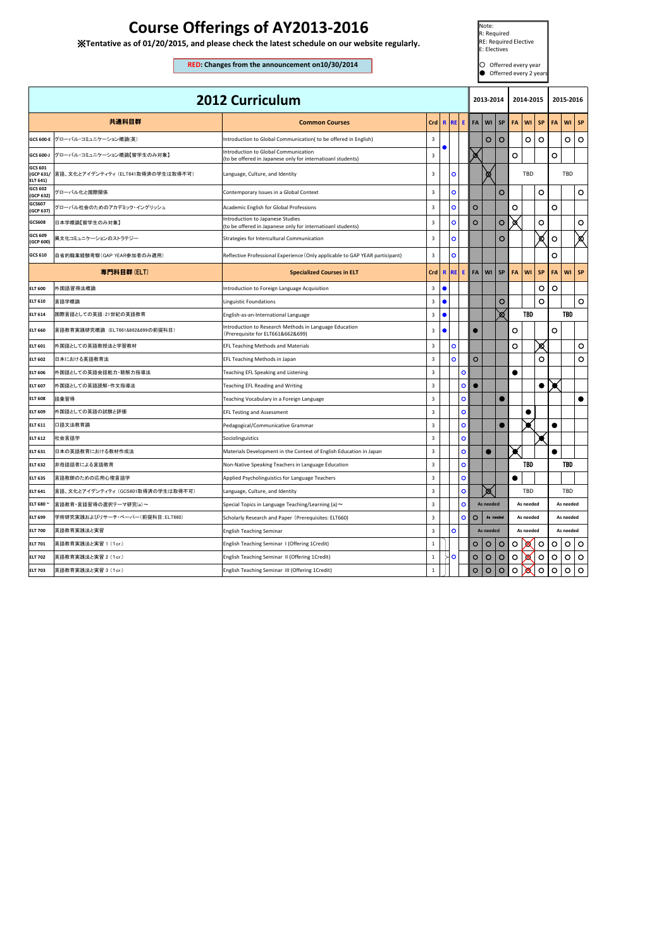| <b>2012 Curriculum</b>           |                                    |                                                                                                     |              |                            | 2013-2014    |           |           |           | 2014-2015 |                        |           | 2015-2016 |            |           |
|----------------------------------|------------------------------------|-----------------------------------------------------------------------------------------------------|--------------|----------------------------|--------------|-----------|-----------|-----------|-----------|------------------------|-----------|-----------|------------|-----------|
|                                  | 共通科目群                              | <b>Common Courses</b>                                                                               | Crd          | <b>REI</b><br>$\mathbf{R}$ | E.           | <b>FA</b> | WI        | <b>SP</b> | FA        | WI                     | <b>SP</b> | <b>FA</b> | WI         | <b>SP</b> |
|                                  | GCS 600-E  グローバル・コミュニケーション概論(英)    | Introduction to Global Communication(to be offered in English)                                      | 3            |                            |              |           | $\circ$   | $\circ$   |           | O                      | $\circ$   |           | O          | $\circ$   |
| GCS 600-J                        | グローバル・コミュニケーション概論【留学生のみ対象】         | Introduction to Global Communication<br>(to be offered in Japanese only for internatioanl students) | 3            |                            |              | Ø         |           |           | O         |                        |           | O         |            |           |
| GCS 601<br>(GCP 631/<br>ELT 641) | 言語、文化とアイデンティティ (ELT641取得済の学生は取得不可) | Language, Culture, and Identity                                                                     | 3            | $\circ$                    |              |           | ∞         |           |           | <b>TBD</b>             |           |           | TBD        |           |
| GCS 602<br>(GCP 632)             | グローバル化と国際関係                        | Contemporary Issues in a Global Context                                                             | 3            | $\mathbf{o}$               |              |           |           | $\circ$   |           |                        | O         |           |            | $\circ$   |
| GCS607<br>(GCP 637)              | グローバル社会のためのアカデミック・イングリッシュ          | Academic English for Global Professions                                                             | 3            | $\bullet$                  |              | $\circ$   |           |           | O         |                        |           | O         |            |           |
| GCS608                           | 日本学概論【留学生のみ対象】                     | Introduction to Japanese Studies<br>(to be offered in Japanese only for internatioanl students)     | 3            | $\mathbf{o}$               |              | $\circ$   |           | $\circ$   | ø         |                        | $\circ$   |           |            | O         |
| GCS 609<br>(GCP 600)             | 異文化コミュニケーションのストラテジー                | Strategies for Intercultural Communication                                                          | 3            | $\circ$                    |              |           |           | $\circ$   |           |                        | ⊠         | O         |            | Ø         |
| GCS 610                          | 自省的職業経験考察(GAP YEAR参加者のみ適用)         | Reflective Professional Experience (Only applicable to GAP YEAR participant)                        | 3            | $\mathbf{o}$               |              |           |           |           |           |                        |           | O         |            |           |
|                                  | 専門科目群(ELT)                         | <b>Specialized Courses in ELT</b>                                                                   | Crd          | $\mathbf{R}$<br><b>REI</b> | E.           | <b>FA</b> | WI        | <b>SP</b> | <b>FA</b> | WI                     | <b>SP</b> | <b>FA</b> | WI         | <b>SP</b> |
| <b>ELT 600</b>                   | 外国語習得法概論                           | Introduction to Foreign Language Acquisition                                                        | 3            | $\bullet$                  |              |           |           |           |           |                        | O         | O         |            |           |
| <b>ELT 610</b>                   | 言語学概論                              | <b>Linguistic Foundations</b>                                                                       | 3            | $\bullet$                  |              |           |           | $\circ$   |           |                        | O         |           |            | O         |
| <b>ELT 614</b>                   | 国際言語としての英語:21世紀の英語教育               | English-as-an-International Language                                                                | 3            | $\bullet$                  |              |           |           | ⊠         |           | TBD                    |           |           | TBD        |           |
| <b>ELT 660</b>                   | 言語教育実践研究概論 (ELT661&662&699の前提科目)   | Introduction to Research Methods in Language Education<br>(Prerequisite for ELT661&662&699)         | $\mathbf{3}$ | $\bullet$                  |              | $\bullet$ |           |           | O         |                        |           | O         |            |           |
| <b>ELT 601</b>                   | 外国語としての英語教授法と学習教材                  | <b>EFL Teaching Methods and Materials</b>                                                           | 3            | $\bullet$                  |              |           |           |           | O         |                        | ⊠∕        |           |            | O         |
| <b>ELT 602</b>                   | 日本における英語教育法                        | EFL Teaching Methods in Japan                                                                       | 3            | $\mathbf{o}$               |              | $\circ$   |           |           |           |                        | O         |           |            | O         |
| <b>ELT 606</b>                   | 外国語としての英語会話能力・聴解力指導法               | Teaching EFL Speaking and Listening                                                                 | 3            |                            | $\circ$      |           |           |           | 0         |                        |           |           |            |           |
| <b>ELT 607</b>                   | 外国語としての英語読解・作文指導法                  | Teaching EFL Reading and Writing                                                                    | 3            |                            | $\circ$      | $\bullet$ |           |           |           |                        |           |           |            |           |
| <b>ELT 608</b>                   | 語彙習得                               | Teaching Vocabulary in a Foreign Language                                                           | 3            |                            | $\circ$      |           |           |           |           |                        |           |           |            | 0         |
| <b>ELT 609</b>                   | 外国語としての英語の試験と評価                    | <b>EFL Testing and Assessment</b>                                                                   | 3            |                            | $\mathbf{o}$ |           |           |           |           |                        |           |           |            |           |
| <b>ELT 611</b>                   | 口語文法教育論                            | Pedagogical/Communicative Grammar                                                                   | 3            |                            | $\circ$      |           |           |           |           |                        |           |           |            |           |
| <b>ELT 612</b>                   | 社会言語学                              | Sociolinguistics                                                                                    | 3            |                            | $\mathbf{o}$ |           |           |           |           |                        |           |           |            |           |
| <b>ELT 631</b>                   | 日本の英語教育における教材作成法                   | Materials Development in the Context of English Education in Japan                                  | 3            |                            | $\bullet$    |           |           |           |           |                        |           | $\bullet$ |            |           |
| <b>ELT 632</b>                   | 非母語話者による言語教育                       | Non-Native Speaking Teachers in Language Education                                                  | 3            |                            | $\mathbf{o}$ |           |           |           |           | <b>TBD</b>             |           |           | <b>TBD</b> |           |
| <b>ELT 635</b>                   | 言語教師のための応用心理言語学                    | Applied Psycholinguistics for Language Teachers                                                     | 3            |                            | $\bullet$    |           |           |           | $\bullet$ |                        |           |           |            |           |
| <b>ELT 641</b>                   | 言語、文化とアイデンティティ (GCS601取得済の学生は取得不可) | Language, Culture, and Identity                                                                     | 3            |                            | $\bullet$    |           | 図         |           |           | TBD                    |           | TBD       |            |           |
| ELT 680 ~                        | 言語教育·言語習得の選択テーマ研究(a)~              | Special Topics in Language Teaching/Learning (a) ~                                                  | 3            |                            | $\circ$      |           | As needed |           |           | As needed<br>As needed |           |           |            |           |
| <b>ELT 699</b>                   | 学術研究実践およびリサーチ・ペーパー(前提科目:ELT660)    | Scholarly Research and Paper (Prerequisites: ELT660)                                                | 3            |                            | $\circ$      | O         |           | As needed | As needed |                        |           | As needed |            |           |
| <b>ELT 700</b>                   | 英語教育実践法と実習                         | <b>English Teaching Seminar</b>                                                                     | 3            | $\bullet$                  |              |           | As needed |           | As needed |                        |           | As needed |            |           |
| <b>ELT 701</b>                   | 英語教育実践法と実習 1 (1cr.)                | English Teaching Seminar I (Offering 1Credit)                                                       | $\mathbf{1}$ |                            |              | $\circ$   | $\circ$   | O         | O         | x                      | $\circ$   | O         | $\circ$    | $\circ$   |
| <b>ELT 702</b>                   | 英語教育実践法と実習 2 (1cr.)                | English Teaching Seminar II (Offering 1Credit)                                                      | $\mathbf{1}$ | $\circ$                    |              | $\circ$   | $\circ$   | $\circ$   | O         | x                      | $\circ$   | O         | $\circ$    | $\circ$   |
| <b>ELT 703</b>                   | 英語教育実践法と実習 3 (1cr.)                | English Teaching Seminar III (Offering 1Credit)                                                     | $\mathbf{1}$ |                            |              | $\circ$   | $\circ$   | $\circ$   | $\circ$   | х                      | $\circ$   | $\circ$   | $\circ$    | $\circ$   |

Note: R: Required RE: Required Elective E: Electives

○ Offerred every year  $\bigcirc$  Offerred every 2 years

## **Course Offerings of AY2013-2016**

※**Tentative as of 01/20/2015, and please check the latest schedule on our website regularly.**

**RED: Changes from the announcement on10/30/2014**